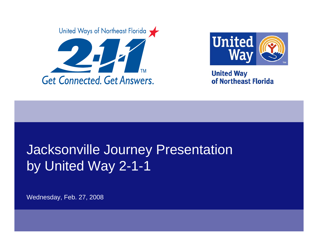



**United Way** of Northeast Florida

## Jacksonville Journey Presentation by United Way 2-1-1

Wednesday, Feb. 27, 2008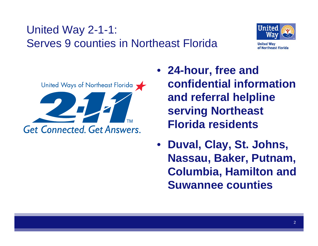## United Way 2-1-1: Serves 9 counties in Northeast Florida





- **24-hour, free and confidential information and referral helpline serving Northeast Florida residents**
- **Duval, Clay, St. Johns, Nassau, Baker, Putnam, Columbia, Hamilton and Suwannee counties**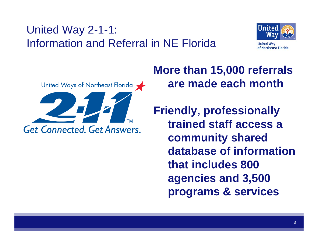## United Way 2-1-1: Information and Referral in NE Florida





**More than 15,000 referrals are made each month**

**Friendly, professionally trained staff access a community shared database of information that includes 800 agencies and 3,500 programs & services**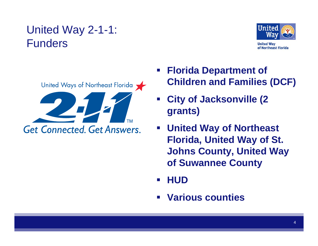#### United Way 2-1-1: Funders





- **Florida Department of Children and Families (DCF)**
- **City of Jacksonville (2 grants)**
- **United Way of Northeast Florida, United Way of St. Johns County, United Way of Suwannee County**
- **HUD**
- **Various counties**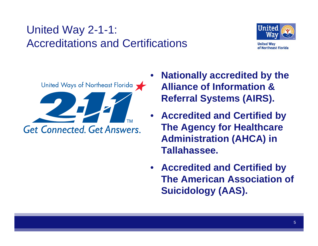## United Way 2-1-1: Accreditations and Certifications



United Ways of Northeast Florida **Get Connected. Get Answers.** 

- • **Nationally accredited by the Alliance of Information & Referral Systems (AIRS).**
- **Accredited and Certified by The Agency for Healthcare Administration (AHCA) in Tallahassee.**
- **Accredited and Certified by The American Association of Suicidology (AAS).**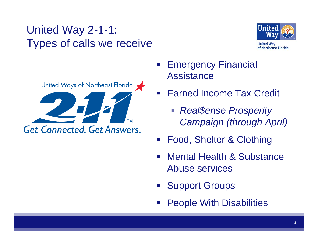#### United Way 2-1-1: Types of calls we receive



**United Way** of Northeast Florida



- Emergency Financial **Assistance**
- Earned Income Tax Credit
	- *Real\$ense Prosperity Campaign (through April)*
- Food, Shelter & Clothing
- Mental Health & Substance Abuse services
- **Support Groups**
- **Service Service** People With Disabilities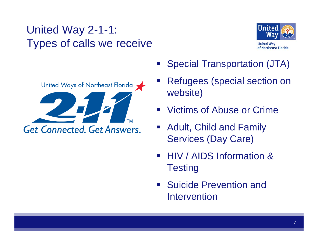#### United Way 2-1-1: Types of calls we receive





- **Special Transportation (JTA)**
- Refugees (special section on website)
- **Victims of Abuse or Crime**
- **Adult, Child and Family** Services (Day Care)
- HIV / AIDS Information & **Testing**
- **Suicide Prevention and Suicide Prevention and I** Intervention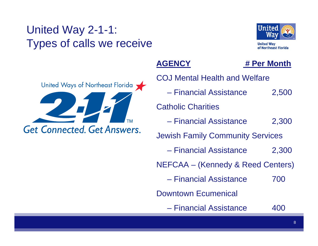#### United Way 2-1-1: Types of calls we receive



United Ways of Northeast Florida **TM Get Connected, Get Answers.** 

#### **AGENCY**

#### **# Per Month**

| <b>COJ Mental Health and Welfare</b>    |       |
|-----------------------------------------|-------|
| - Financial Assistance                  | 2,500 |
| <b>Catholic Charities</b>               |       |
| - Financial Assistance                  | 2,300 |
| <b>Jewish Family Community Services</b> |       |
| - Financial Assistance                  | 2,300 |
| NEFCAA – (Kennedy & Reed Centers)       |       |
| - Financial Assistance                  | 700   |
| <b>Downtown Ecumenical</b>              |       |
| - Financial Assistance                  |       |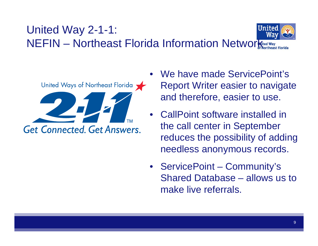#### United Way 2-1-1: NEFIN – Northeast Florida Information Network



- We have made ServicePoint's Report Writer easier to navigate and therefore, easier to use.
- • CallPoint software installed in the call center in September reduces the possibility of adding needless anonymous records.
- ServicePoint Community's Shared Database – allows us to make live referrals.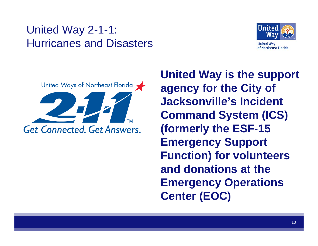#### United Way 2-1-1: Hurricanes and Disasters





**United Way is the support agency for the City of Jacksonville's Incident Command System (ICS) (formerly the ESF-15 Emergency Support Function) for volunteers and donations at the Emergency Operations Center (EOC)**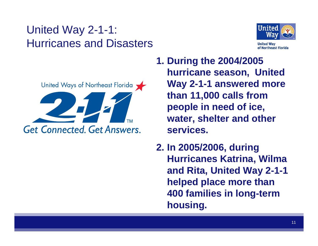#### United Way 2-1-1: Hurricanes and Disasters





**1. During the 2004/2005 hurricane season, United Way 2-1-1 answered more than 11,000 calls from people in need of ice, water, shelter and other services.**

**2. In 2005/2006, during Hurricanes Katrina, Wilma and Rita, United Way 2-1-1 helped place more than 400 families in long-term housing.**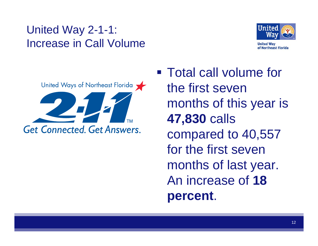#### United Way 2-1-1: Increase in Call Volume





■ Total call volume for the first seven months of this year is **47,830** calls compared to 40,557 for the first seven months of last year. An increase of **18 percent**.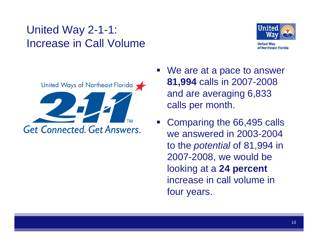#### United Way 2-1-1: Increase in Call Volume





- We are at a pace to answer **81,994** calls in 2007-2008 and are averaging 6,833 calls per month.
- Comparing the 66,495 calls we answered in 2003-2004 to the *potential* of 81,994 in 2007-2008, we would be looking at a **24 percent** increase in call volume in four years.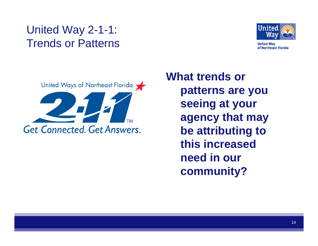#### United Way 2-1-1: Trends or Patterns



**United Way** of Northeast Florida



**What trends or patterns are you seeing at your agency that may be attributing to this increased need in our community?**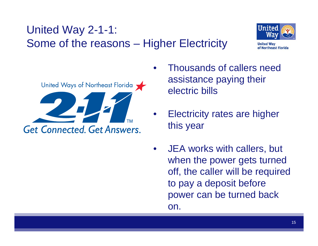



- • Thousands of callers need assistance paying their electric bills
- Electricity rates are higher this year
- • JEA works with callers, but when the power gets turned off, the caller will be required to pay a deposit before power can be turned back on.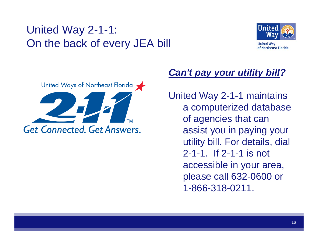#### United Way 2-1-1: On the back of every JEA bill



**United Way** of Northeast Florida



#### *Can't pay your utility bill?*

United Way 2-1-1 maintains <sup>a</sup> computerized database of agencies that can assist you in paying your utility bill. For details, dial 2-1-1. If 2-1-1 is not accessible in your area, please call 632-0600 or 1-866-318-0211.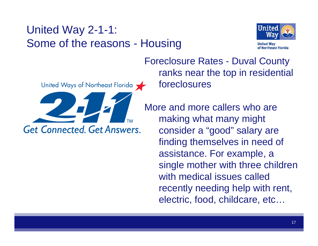#### United Way 2-1-1: Some of the reasons - Housing



United Ways of Northeast Florida **Get Connected, Get Answers.** 

Foreclosure Rates - Duval County ranks near the top in residential foreclosures

More and more callers who are making what many might consider a "good" salary are finding themselves in need of assistance. For example, a single mother with three children with medical issues called recently needing help with rent, electric, food, childcare, etc…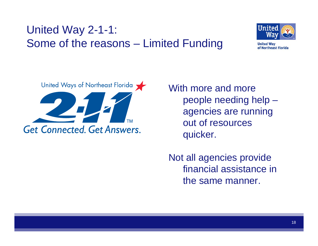#### United Way 2-1-1: Some of the reasons – Limited Funding



**United Way** of Northeast Florida



With more and more people needing help – agencies are running out of resources quicker.

Not all agencies provide financial assistance in the same manner.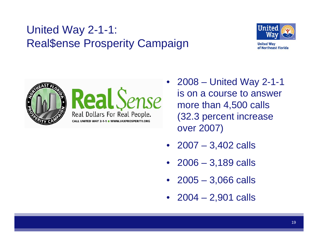#### United Way 2-1-1: Real\$ense Prosperity Campaign



**United Way** of Northeast Florida



• 2008 – United Way 2-1-1 is on a course to answer more than 4,500 calls (32.3 percent increase over 2007)

- 2007 3,402 calls
- 2006 3,189 calls
- 2005 3,066 calls
- 2004 2,901 calls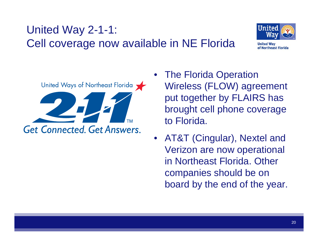#### United Way 2-1-1: Cell coverage now available in NE Florida



**United Way** of Northeast Florida



- • The Florida Operation Wireless (FLOW) agreement put together by FLAIRS has brought cell phone coverage to Florida.
- $\bullet$  AT&T (Cingular), Nextel and Verizon are now operational in Northeast Florida. Other companies should be on board by the end of the year.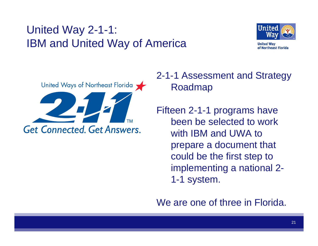#### United Way 2-1-1: IBM and United Way of America



United Ways of Northeast Florida **Get Connected, Get Answers.** 

2-1-1 Assessment and Strategy Roadmap

Fifteen 2-1-1 programs have been be selected to work with IBM and UWA to prepare a document that could be the first step to implementing a national 2- 1-1 system.

We are one of three in Florida.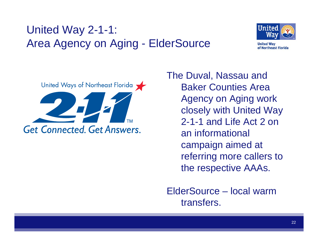### United Way 2-1-1: Area Agency on Aging - ElderSource



**United Way** of Northeast Florida



The Duval, Nassau and Baker Counties Area Agency on Aging work closely with United Way 2-1-1 and Life Act 2 on an informational campaign aimed at referring more callers to the respective AAAs.

ElderSource – local warm transfers.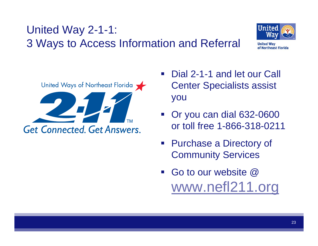



of Northeast Florida

United Ways of Northeast Florida **Get Connected, Get Answers.** 

- Dial 2-1-1 and let our Call Center Specialists assist you
- **Service Service**  Or you can dial 632-0600 or toll free 1-866-318-0211
- Purchase a Directory of Community Services
- Go to our website @ [www.nefl211.org](http://www.nefl211.org/)